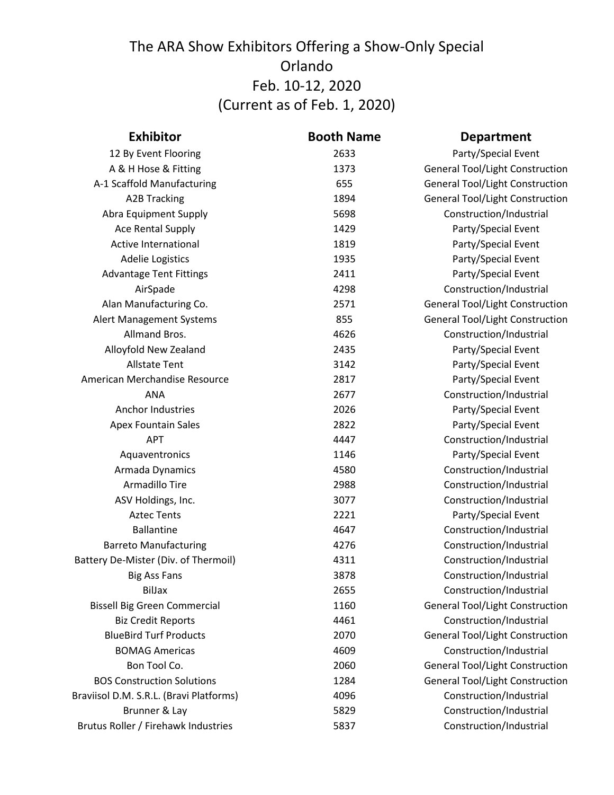| <b>Exhibitor</b>                        | <b>Booth Name</b> | <b>Department</b>                      |
|-----------------------------------------|-------------------|----------------------------------------|
| 12 By Event Flooring                    | 2633              | Party/Special Event                    |
| A & H Hose & Fitting                    | 1373              | <b>General Tool/Light Construction</b> |
| A-1 Scaffold Manufacturing              | 655               | <b>General Tool/Light Construction</b> |
| <b>A2B Tracking</b>                     | 1894              | <b>General Tool/Light Construction</b> |
| Abra Equipment Supply                   | 5698              | Construction/Industrial                |
| <b>Ace Rental Supply</b>                | 1429              | Party/Special Event                    |
| Active International                    | 1819              | Party/Special Event                    |
| <b>Adelie Logistics</b>                 | 1935              | Party/Special Event                    |
| <b>Advantage Tent Fittings</b>          | 2411              | Party/Special Event                    |
| AirSpade                                | 4298              | Construction/Industrial                |
| Alan Manufacturing Co.                  | 2571              | <b>General Tool/Light Construction</b> |
| Alert Management Systems                | 855               | <b>General Tool/Light Construction</b> |
| Allmand Bros.                           | 4626              | Construction/Industrial                |
| Alloyfold New Zealand                   | 2435              | Party/Special Event                    |
| <b>Allstate Tent</b>                    | 3142              | Party/Special Event                    |
| American Merchandise Resource           | 2817              | Party/Special Event                    |
| <b>ANA</b>                              | 2677              | Construction/Industrial                |
| Anchor Industries                       | 2026              | Party/Special Event                    |
| <b>Apex Fountain Sales</b>              | 2822              | Party/Special Event                    |
| <b>APT</b>                              | 4447              | Construction/Industrial                |
| Aquaventronics                          | 1146              | Party/Special Event                    |
| Armada Dynamics                         | 4580              | Construction/Industrial                |
| Armadillo Tire                          | 2988              | Construction/Industrial                |
| ASV Holdings, Inc.                      | 3077              | Construction/Industrial                |
| <b>Aztec Tents</b>                      | 2221              | Party/Special Event                    |
| <b>Ballantine</b>                       | 4647              | Construction/Industrial                |
| <b>Barreto Manufacturing</b>            | 4276              | Construction/Industrial                |
| Battery De-Mister (Div. of Thermoil)    | 4311              | Construction/Industrial                |
| <b>Big Ass Fans</b>                     | 3878              | Construction/Industrial                |
| <b>BilJax</b>                           | 2655              | Construction/Industrial                |
| <b>Bissell Big Green Commercial</b>     | 1160              | <b>General Tool/Light Construction</b> |
| <b>Biz Credit Reports</b>               | 4461              | Construction/Industrial                |
| <b>BlueBird Turf Products</b>           | 2070              | <b>General Tool/Light Construction</b> |
| <b>BOMAG Americas</b>                   | 4609              | Construction/Industrial                |
| Bon Tool Co.                            | 2060              | <b>General Tool/Light Construction</b> |
| <b>BOS Construction Solutions</b>       | 1284              | <b>General Tool/Light Construction</b> |
| Braviisol D.M. S.R.L. (Bravi Platforms) | 4096              | Construction/Industrial                |
| Brunner & Lay                           | 5829              | Construction/Industrial                |
| Brutus Roller / Firehawk Industries     | 5837              | Construction/Industrial                |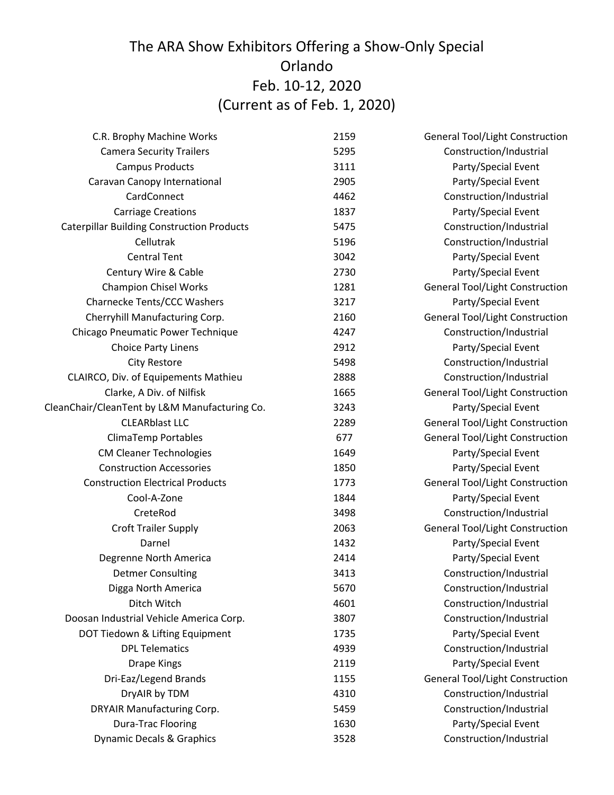| C.R. Brophy Machine Works                         | 2159 | <b>General Tool/Light Construction</b> |
|---------------------------------------------------|------|----------------------------------------|
| <b>Camera Security Trailers</b>                   | 5295 | Construction/Industrial                |
| <b>Campus Products</b>                            | 3111 | Party/Special Event                    |
| Caravan Canopy International                      | 2905 | Party/Special Event                    |
| CardConnect                                       | 4462 | Construction/Industrial                |
| <b>Carriage Creations</b>                         | 1837 | Party/Special Event                    |
| <b>Caterpillar Building Construction Products</b> | 5475 | Construction/Industrial                |
| Cellutrak                                         | 5196 | Construction/Industrial                |
| <b>Central Tent</b>                               | 3042 | Party/Special Event                    |
| Century Wire & Cable                              | 2730 | Party/Special Event                    |
| <b>Champion Chisel Works</b>                      | 1281 | <b>General Tool/Light Construction</b> |
| Charnecke Tents/CCC Washers                       | 3217 | Party/Special Event                    |
| Cherryhill Manufacturing Corp.                    | 2160 | <b>General Tool/Light Construction</b> |
| Chicago Pneumatic Power Technique                 | 4247 | Construction/Industrial                |
| <b>Choice Party Linens</b>                        | 2912 | Party/Special Event                    |
| <b>City Restore</b>                               | 5498 | Construction/Industrial                |
| CLAIRCO, Div. of Equipements Mathieu              | 2888 | Construction/Industrial                |
| Clarke, A Div. of Nilfisk                         | 1665 | <b>General Tool/Light Construction</b> |
| CleanChair/CleanTent by L&M Manufacturing Co.     | 3243 | Party/Special Event                    |
| <b>CLEARblast LLC</b>                             | 2289 | <b>General Tool/Light Construction</b> |
| ClimaTemp Portables                               | 677  | <b>General Tool/Light Construction</b> |
| <b>CM Cleaner Technologies</b>                    | 1649 | Party/Special Event                    |
| <b>Construction Accessories</b>                   | 1850 | Party/Special Event                    |
| <b>Construction Electrical Products</b>           | 1773 | <b>General Tool/Light Construction</b> |
| Cool-A-Zone                                       | 1844 | Party/Special Event                    |
| CreteRod                                          | 3498 | Construction/Industrial                |
| Croft Trailer Supply                              | 2063 | <b>General Tool/Light Construction</b> |
| Darnel                                            | 1432 | Party/Special Event                    |
| Degrenne North America                            | 2414 | Party/Special Event                    |
| <b>Detmer Consulting</b>                          | 3413 | Construction/Industrial                |
| Digga North America                               | 5670 | Construction/Industrial                |
| Ditch Witch                                       | 4601 | Construction/Industrial                |
| Doosan Industrial Vehicle America Corp.           | 3807 | Construction/Industrial                |
| DOT Tiedown & Lifting Equipment                   | 1735 | Party/Special Event                    |
| <b>DPL Telematics</b>                             | 4939 | Construction/Industrial                |
| <b>Drape Kings</b>                                | 2119 | Party/Special Event                    |
| Dri-Eaz/Legend Brands                             | 1155 | <b>General Tool/Light Construction</b> |
| DryAIR by TDM                                     | 4310 | Construction/Industrial                |
| DRYAIR Manufacturing Corp.                        | 5459 | Construction/Industrial                |
| <b>Dura-Trac Flooring</b>                         | 1630 | Party/Special Event                    |
| <b>Dynamic Decals &amp; Graphics</b>              | 3528 | Construction/Industrial                |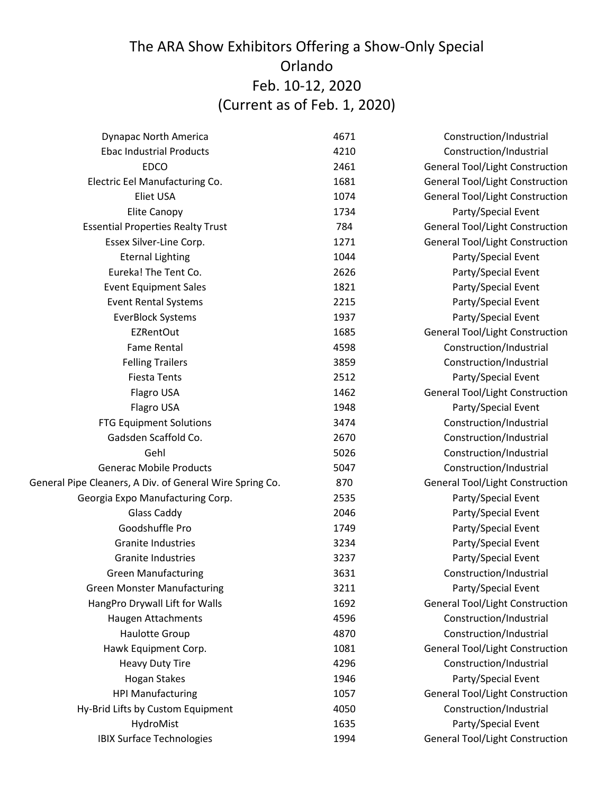| <b>Dynapac North America</b>                             | 4671 | Construction/Industrial                |
|----------------------------------------------------------|------|----------------------------------------|
| <b>Ebac Industrial Products</b>                          | 4210 | Construction/Industrial                |
| <b>EDCO</b>                                              | 2461 | <b>General Tool/Light Construction</b> |
| Electric Eel Manufacturing Co.                           | 1681 | <b>General Tool/Light Construction</b> |
| <b>Eliet USA</b>                                         | 1074 | <b>General Tool/Light Construction</b> |
| <b>Elite Canopy</b>                                      | 1734 | Party/Special Event                    |
| <b>Essential Properties Realty Trust</b>                 | 784  | <b>General Tool/Light Construction</b> |
| Essex Silver-Line Corp.                                  | 1271 | <b>General Tool/Light Construction</b> |
| <b>Eternal Lighting</b>                                  | 1044 | Party/Special Event                    |
| Eureka! The Tent Co.                                     | 2626 | Party/Special Event                    |
| <b>Event Equipment Sales</b>                             | 1821 | Party/Special Event                    |
| <b>Event Rental Systems</b>                              | 2215 | Party/Special Event                    |
| <b>EverBlock Systems</b>                                 | 1937 | Party/Special Event                    |
| <b>EZRentOut</b>                                         | 1685 | <b>General Tool/Light Construction</b> |
| <b>Fame Rental</b>                                       | 4598 | Construction/Industrial                |
| <b>Felling Trailers</b>                                  | 3859 | Construction/Industrial                |
| <b>Fiesta Tents</b>                                      | 2512 | Party/Special Event                    |
| Flagro USA                                               | 1462 | <b>General Tool/Light Construction</b> |
| Flagro USA                                               | 1948 | Party/Special Event                    |
| <b>FTG Equipment Solutions</b>                           | 3474 | Construction/Industrial                |
| Gadsden Scaffold Co.                                     | 2670 | Construction/Industrial                |
| Gehl                                                     | 5026 | Construction/Industrial                |
| <b>Generac Mobile Products</b>                           | 5047 | Construction/Industrial                |
| General Pipe Cleaners, A Div. of General Wire Spring Co. | 870  | <b>General Tool/Light Construction</b> |
| Georgia Expo Manufacturing Corp.                         | 2535 | Party/Special Event                    |
| <b>Glass Caddy</b>                                       | 2046 | Party/Special Event                    |
| Goodshuffle Pro                                          | 1749 | Party/Special Event                    |
| <b>Granite Industries</b>                                | 3234 | Party/Special Event                    |
| <b>Granite Industries</b>                                | 3237 | Party/Special Event                    |
| <b>Green Manufacturing</b>                               | 3631 | Construction/Industrial                |
| <b>Green Monster Manufacturing</b>                       | 3211 | Party/Special Event                    |
| HangPro Drywall Lift for Walls                           | 1692 | <b>General Tool/Light Construction</b> |
| Haugen Attachments                                       | 4596 | Construction/Industrial                |
| Haulotte Group                                           | 4870 | Construction/Industrial                |
| Hawk Equipment Corp.                                     | 1081 | <b>General Tool/Light Construction</b> |
| <b>Heavy Duty Tire</b>                                   | 4296 | Construction/Industrial                |
| <b>Hogan Stakes</b>                                      | 1946 | Party/Special Event                    |
| <b>HPI Manufacturing</b>                                 | 1057 | <b>General Tool/Light Construction</b> |
| Hy-Brid Lifts by Custom Equipment                        | 4050 | Construction/Industrial                |
| HydroMist                                                | 1635 | Party/Special Event                    |
| <b>IBIX Surface Technologies</b>                         | 1994 | <b>General Tool/Light Construction</b> |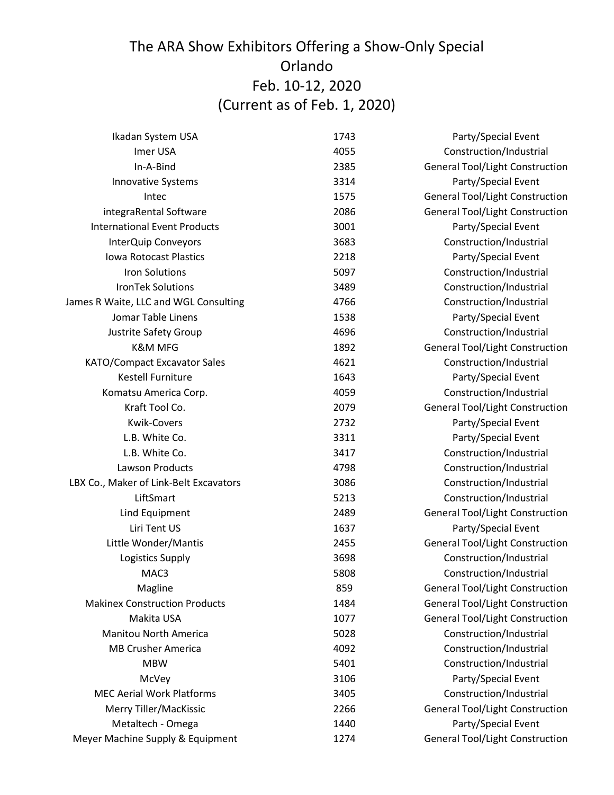| Ikadan System USA                      | 1743 | Party/Special Event                    |
|----------------------------------------|------|----------------------------------------|
| Imer USA                               | 4055 | Construction/Industrial                |
| In-A-Bind                              | 2385 | <b>General Tool/Light Construction</b> |
| <b>Innovative Systems</b>              | 3314 | Party/Special Event                    |
| Intec                                  | 1575 | <b>General Tool/Light Construction</b> |
| integraRental Software                 | 2086 | <b>General Tool/Light Construction</b> |
| <b>International Event Products</b>    | 3001 | Party/Special Event                    |
| InterQuip Conveyors                    | 3683 | Construction/Industrial                |
| <b>Iowa Rotocast Plastics</b>          | 2218 | Party/Special Event                    |
| <b>Iron Solutions</b>                  | 5097 | Construction/Industrial                |
| <b>IronTek Solutions</b>               | 3489 | Construction/Industrial                |
| James R Waite, LLC and WGL Consulting  | 4766 | Construction/Industrial                |
| Jomar Table Linens                     | 1538 | Party/Special Event                    |
| Justrite Safety Group                  | 4696 | Construction/Industrial                |
| <b>K&amp;M MFG</b>                     | 1892 | <b>General Tool/Light Construction</b> |
| KATO/Compact Excavator Sales           | 4621 | Construction/Industrial                |
| <b>Kestell Furniture</b>               | 1643 | Party/Special Event                    |
| Komatsu America Corp.                  | 4059 | Construction/Industrial                |
| Kraft Tool Co.                         | 2079 | <b>General Tool/Light Construction</b> |
| <b>Kwik-Covers</b>                     | 2732 | Party/Special Event                    |
| L.B. White Co.                         | 3311 | Party/Special Event                    |
| L.B. White Co.                         | 3417 | Construction/Industrial                |
| Lawson Products                        | 4798 | Construction/Industrial                |
| LBX Co., Maker of Link-Belt Excavators | 3086 | Construction/Industrial                |
| LiftSmart                              | 5213 | Construction/Industrial                |
| Lind Equipment                         | 2489 | <b>General Tool/Light Construction</b> |
| Liri Tent US                           | 1637 | Party/Special Event                    |
| Little Wonder/Mantis                   | 2455 | <b>General Tool/Light Construction</b> |
| Logistics Supply                       | 3698 | Construction/Industrial                |
| MAC3                                   | 5808 | Construction/Industrial                |
| Magline                                | 859  | <b>General Tool/Light Construction</b> |
| <b>Makinex Construction Products</b>   | 1484 | <b>General Tool/Light Construction</b> |
| Makita USA                             | 1077 | <b>General Tool/Light Construction</b> |
| <b>Manitou North America</b>           | 5028 | Construction/Industrial                |
| <b>MB Crusher America</b>              | 4092 | Construction/Industrial                |
| <b>MBW</b>                             | 5401 | Construction/Industrial                |
| McVey                                  | 3106 | Party/Special Event                    |
| <b>MEC Aerial Work Platforms</b>       | 3405 | Construction/Industrial                |
| Merry Tiller/MacKissic                 | 2266 | <b>General Tool/Light Construction</b> |
| Metaltech - Omega                      | 1440 | Party/Special Event                    |
| Meyer Machine Supply & Equipment       | 1274 | <b>General Tool/Light Construction</b> |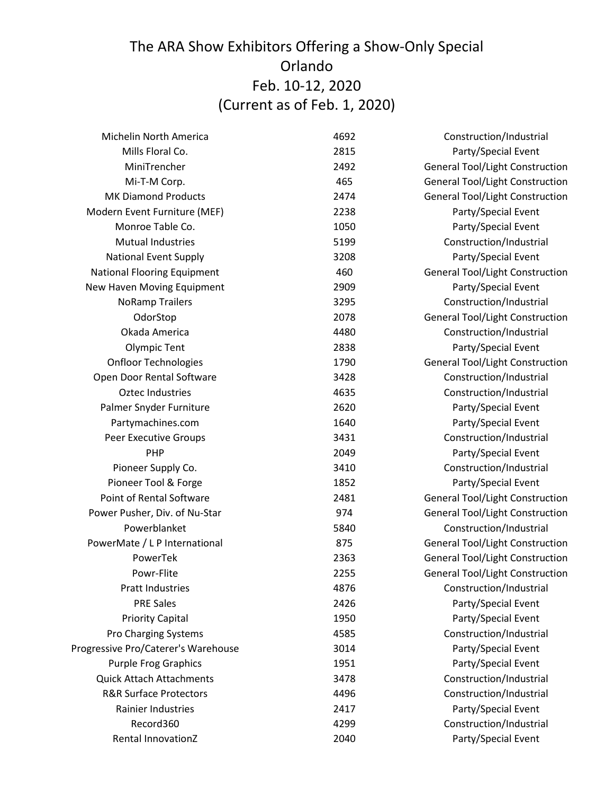| Michelin North America              | 4692 | Construction/Industrial                |
|-------------------------------------|------|----------------------------------------|
| Mills Floral Co.                    | 2815 | Party/Special Event                    |
| MiniTrencher                        | 2492 | <b>General Tool/Light Construction</b> |
| Mi-T-M Corp.                        | 465  | <b>General Tool/Light Construction</b> |
| <b>MK Diamond Products</b>          | 2474 | <b>General Tool/Light Construction</b> |
| Modern Event Furniture (MEF)        | 2238 | Party/Special Event                    |
| Monroe Table Co.                    | 1050 | Party/Special Event                    |
| <b>Mutual Industries</b>            | 5199 | Construction/Industrial                |
| <b>National Event Supply</b>        | 3208 | Party/Special Event                    |
| <b>National Flooring Equipment</b>  | 460  | <b>General Tool/Light Construction</b> |
| New Haven Moving Equipment          | 2909 | Party/Special Event                    |
| <b>NoRamp Trailers</b>              | 3295 | Construction/Industrial                |
| OdorStop                            | 2078 | <b>General Tool/Light Construction</b> |
| Okada America                       | 4480 | Construction/Industrial                |
| Olympic Tent                        | 2838 | Party/Special Event                    |
| <b>Onfloor Technologies</b>         | 1790 | <b>General Tool/Light Construction</b> |
| Open Door Rental Software           | 3428 | Construction/Industrial                |
| <b>Oztec Industries</b>             | 4635 | Construction/Industrial                |
| Palmer Snyder Furniture             | 2620 | Party/Special Event                    |
| Partymachines.com                   | 1640 | Party/Special Event                    |
| Peer Executive Groups               | 3431 | Construction/Industrial                |
| PHP                                 | 2049 | Party/Special Event                    |
| Pioneer Supply Co.                  | 3410 | Construction/Industrial                |
| Pioneer Tool & Forge                | 1852 | Party/Special Event                    |
| Point of Rental Software            | 2481 | <b>General Tool/Light Construction</b> |
| Power Pusher, Div. of Nu-Star       | 974  | <b>General Tool/Light Construction</b> |
| Powerblanket                        | 5840 | Construction/Industrial                |
| PowerMate / L P International       | 875  | <b>General Tool/Light Construction</b> |
| PowerTek                            | 2363 | <b>General Tool/Light Construction</b> |
| Powr-Flite                          | 2255 | <b>General Tool/Light Construction</b> |
| <b>Pratt Industries</b>             | 4876 | Construction/Industrial                |
| <b>PRE Sales</b>                    | 2426 | Party/Special Event                    |
| <b>Priority Capital</b>             | 1950 | Party/Special Event                    |
| Pro Charging Systems                | 4585 | Construction/Industrial                |
| Progressive Pro/Caterer's Warehouse | 3014 | Party/Special Event                    |
| <b>Purple Frog Graphics</b>         | 1951 | Party/Special Event                    |
| <b>Quick Attach Attachments</b>     | 3478 | Construction/Industrial                |
| <b>R&amp;R Surface Protectors</b>   | 4496 | Construction/Industrial                |
| Rainier Industries                  | 2417 | Party/Special Event                    |
| Record360                           | 4299 | Construction/Industrial                |
| Rental InnovationZ                  | 2040 | Party/Special Event                    |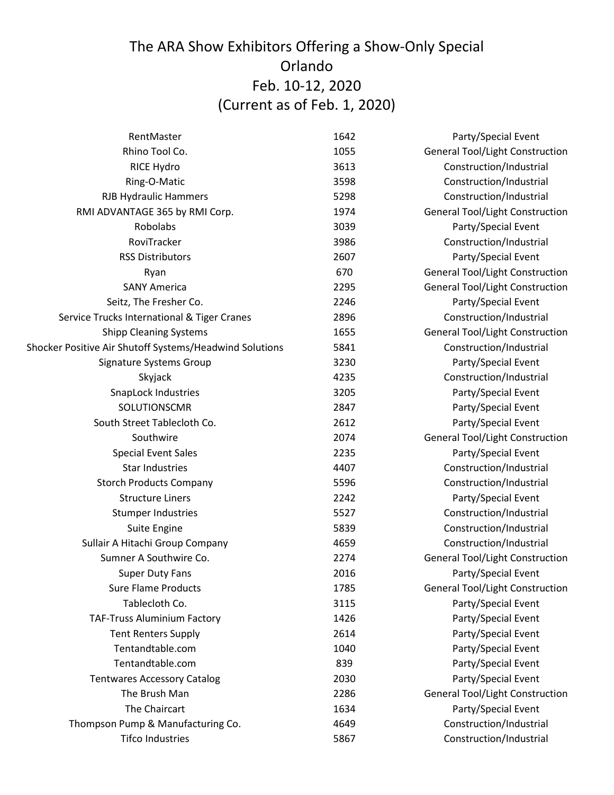| RentMaster                                              | 1642 | Party/Special Event                    |
|---------------------------------------------------------|------|----------------------------------------|
| Rhino Tool Co.                                          | 1055 | <b>General Tool/Light Construction</b> |
| <b>RICE Hydro</b>                                       | 3613 | Construction/Industrial                |
| Ring-O-Matic                                            | 3598 | Construction/Industrial                |
| <b>RJB Hydraulic Hammers</b>                            | 5298 | Construction/Industrial                |
| RMI ADVANTAGE 365 by RMI Corp.                          | 1974 | <b>General Tool/Light Construction</b> |
| Robolabs                                                | 3039 | Party/Special Event                    |
| RoviTracker                                             | 3986 | Construction/Industrial                |
| <b>RSS Distributors</b>                                 | 2607 | Party/Special Event                    |
| Ryan                                                    | 670  | <b>General Tool/Light Construction</b> |
| <b>SANY America</b>                                     | 2295 | <b>General Tool/Light Construction</b> |
| Seitz, The Fresher Co.                                  | 2246 | Party/Special Event                    |
| Service Trucks International & Tiger Cranes             | 2896 | Construction/Industrial                |
| <b>Shipp Cleaning Systems</b>                           | 1655 | <b>General Tool/Light Construction</b> |
| Shocker Positive Air Shutoff Systems/Headwind Solutions | 5841 | Construction/Industrial                |
| Signature Systems Group                                 | 3230 | Party/Special Event                    |
| Skyjack                                                 | 4235 | Construction/Industrial                |
| SnapLock Industries                                     | 3205 | Party/Special Event                    |
| SOLUTIONSCMR                                            | 2847 | Party/Special Event                    |
| South Street Tablecloth Co.                             | 2612 | Party/Special Event                    |
| Southwire                                               | 2074 | <b>General Tool/Light Construction</b> |
| <b>Special Event Sales</b>                              | 2235 | Party/Special Event                    |
| <b>Star Industries</b>                                  | 4407 | Construction/Industrial                |
| <b>Storch Products Company</b>                          | 5596 | Construction/Industrial                |
| <b>Structure Liners</b>                                 | 2242 | Party/Special Event                    |
| <b>Stumper Industries</b>                               | 5527 | Construction/Industrial                |
| Suite Engine                                            | 5839 | Construction/Industrial                |
| Sullair A Hitachi Group Company                         | 4659 | Construction/Industrial                |
| Sumner A Southwire Co.                                  | 2274 | <b>General Tool/Light Construction</b> |
| <b>Super Duty Fans</b>                                  | 2016 | Party/Special Event                    |
| <b>Sure Flame Products</b>                              | 1785 | <b>General Tool/Light Construction</b> |
| Tablecloth Co.                                          | 3115 | Party/Special Event                    |
| TAF-Truss Aluminium Factory                             | 1426 | Party/Special Event                    |
| <b>Tent Renters Supply</b>                              | 2614 | Party/Special Event                    |
| Tentandtable.com                                        | 1040 | Party/Special Event                    |
| Tentandtable.com                                        | 839  | Party/Special Event                    |
| <b>Tentwares Accessory Catalog</b>                      | 2030 | Party/Special Event                    |
| The Brush Man                                           | 2286 | <b>General Tool/Light Construction</b> |
| The Chaircart                                           | 1634 | Party/Special Event                    |
| Thompson Pump & Manufacturing Co.                       | 4649 | Construction/Industrial                |
| <b>Tifco Industries</b>                                 | 5867 | Construction/Industrial                |